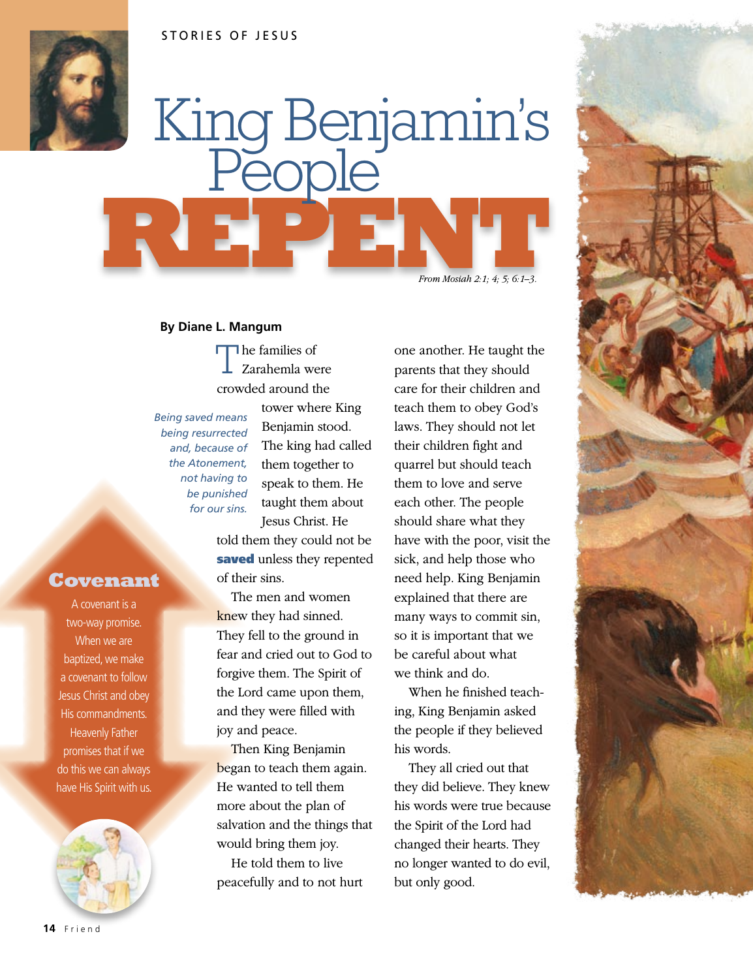STORIES OF JESUS



**REPEALER 1999** King Benjamin's **People** 

*From Mosiah 2:1; 4; 5; 6:1–3.*

## **By Diane L. Mangum**

 $\Pi$ he families of  $\perp$  Zarahemla were crowded around the

*Being saved means being resurrected and, because of the Atonement, not having to be punished for our sins.*

tower where King Benjamin stood. The king had called them together to speak to them. He taught them about Jesus Christ. He

told them they could not be saved unless they repented of their sins.

The men and women knew they had sinned. They fell to the ground in fear and cried out to God to forgive them. The Spirit of the Lord came upon them, and they were filled with joy and peace.

Then King Benjamin began to teach them again. He wanted to tell them more about the plan of salvation and the things that would bring them joy.

He told them to live peacefully and to not hurt one another. He taught the parents that they should care for their children and teach them to obey God's laws. They should not let their children fight and quarrel but should teach them to love and serve each other. The people should share what they have with the poor, visit the sick, and help those who need help. King Benjamin explained that there are many ways to commit sin, so it is important that we be careful about what we think and do.

When he finished teaching, King Benjamin asked the people if they believed his words.

They all cried out that they did believe. They knew his words were true because the Spirit of the Lord had changed their hearts. They no longer wanted to do evil, but only good.



**14** Friend

**Covenant**  A covenant is a two-way promise. When we are baptized, we make a covenant to follow Jesus Christ and obey His commandments. Heavenly Father promises that if we do this we can always have His Spirit with us.